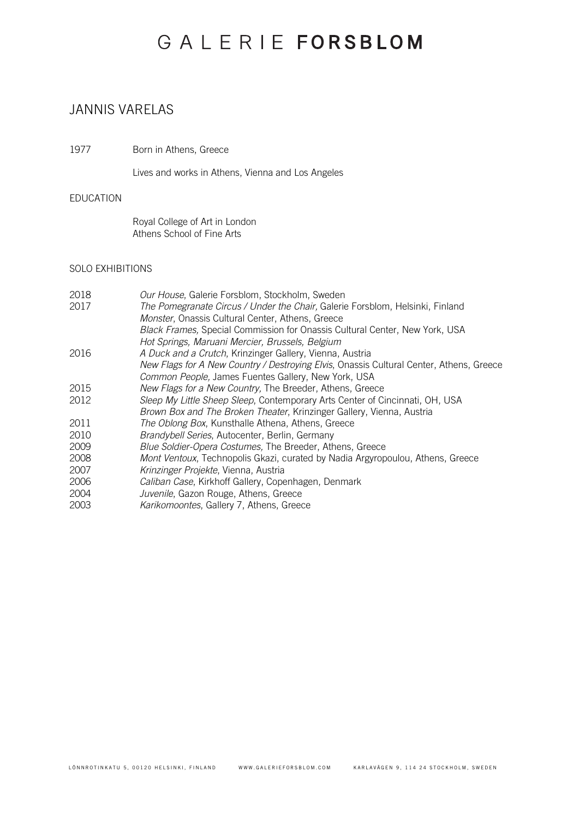# GALERIE FORSBLOM

### JANNIS VARELAS

1977 Born in Athens, Greece

Lives and works in Athens, Vienna and Los Angeles

### EDUCATION

Royal College of Art in London Athens School of Fine Arts

### SOLO EXHIBITIONS

| 2018 | Our House, Galerie Forsblom, Stockholm, Sweden                                          |
|------|-----------------------------------------------------------------------------------------|
| 2017 | The Pomegranate Circus / Under the Chair, Galerie Forsblom, Helsinki, Finland           |
|      | Monster, Onassis Cultural Center, Athens, Greece                                        |
|      | Black Frames, Special Commission for Onassis Cultural Center, New York, USA             |
|      | Hot Springs, Maruani Mercier, Brussels, Belgium                                         |
| 2016 | A Duck and a Crutch, Krinzinger Gallery, Vienna, Austria                                |
|      | New Flags for A New Country / Destroying Elvis, Onassis Cultural Center, Athens, Greece |
|      | Common People, James Fuentes Gallery, New York, USA                                     |
| 2015 | New Flags for a New Country, The Breeder, Athens, Greece                                |
| 2012 | Sleep My Little Sheep Sleep, Contemporary Arts Center of Cincinnati, OH, USA            |
|      | Brown Box and The Broken Theater, Krinzinger Gallery, Vienna, Austria                   |
| 2011 | The Oblong Box, Kunsthalle Athena, Athens, Greece                                       |
| 2010 | Brandybell Series, Autocenter, Berlin, Germany                                          |
| 2009 | Blue Soldier-Opera Costumes, The Breeder, Athens, Greece                                |
| 2008 | Mont Ventoux, Technopolis Gkazi, curated by Nadia Argyropoulou, Athens, Greece          |
| 2007 | Krinzinger Projekte, Vienna, Austria                                                    |
| 2006 | Caliban Case, Kirkhoff Gallery, Copenhagen, Denmark                                     |
| 2004 | Juvenile, Gazon Rouge, Athens, Greece                                                   |
| 2003 | Karikomoontes, Gallery 7, Athens, Greece                                                |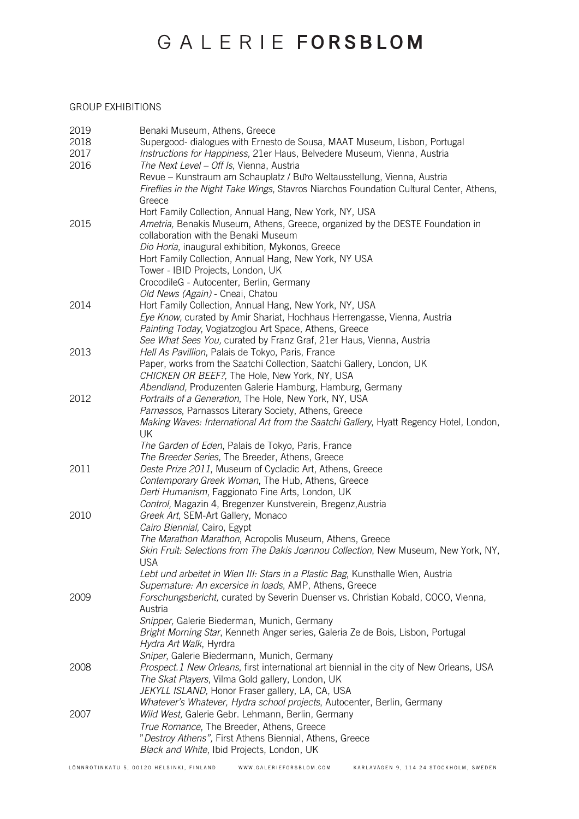# GALERIE FORSBLOM

### GROUP EXHIBITIONS

| 2019 | Benaki Museum, Athens, Greece                                                            |
|------|------------------------------------------------------------------------------------------|
| 2018 | Supergood- dialogues with Ernesto de Sousa, MAAT Museum, Lisbon, Portugal                |
| 2017 | Instructions for Happiness, 21er Haus, Belvedere Museum, Vienna, Austria                 |
| 2016 | The Next Level - Off Is, Vienna, Austria                                                 |
|      | Revue – Kunstraum am Schauplatz / Buro Weltausstellung, Vienna, Austria                  |
|      | Fireflies in the Night Take Wings, Stavros Niarchos Foundation Cultural Center, Athens,  |
|      |                                                                                          |
|      | Greece                                                                                   |
|      | Hort Family Collection, Annual Hang, New York, NY, USA                                   |
| 2015 | Ametria, Benakis Museum, Athens, Greece, organized by the DESTE Foundation in            |
|      | collaboration with the Benaki Museum                                                     |
|      | Dio Horia, inaugural exhibition, Mykonos, Greece                                         |
|      | Hort Family Collection, Annual Hang, New York, NY USA                                    |
|      | Tower - IBID Projects, London, UK                                                        |
|      | CrocodileG - Autocenter, Berlin, Germany                                                 |
|      | Old News (Again) - Cneai, Chatou                                                         |
| 2014 | Hort Family Collection, Annual Hang, New York, NY, USA                                   |
|      | Eye Know, curated by Amir Shariat, Hochhaus Herrengasse, Vienna, Austria                 |
|      | Painting Today, Vogiatzoglou Art Space, Athens, Greece                                   |
|      | See What Sees You, curated by Franz Graf, 21er Haus, Vienna, Austria                     |
| 2013 | Hell As Pavillion, Palais de Tokyo, Paris, France                                        |
|      | Paper, works from the Saatchi Collection, Saatchi Gallery, London, UK                    |
|      | CHICKEN OR BEEF?, The Hole, New York, NY, USA                                            |
|      | Abendland, Produzenten Galerie Hamburg, Hamburg, Germany                                 |
| 2012 | Portraits of a Generation, The Hole, New York, NY, USA                                   |
|      | Parnassos, Parnassos Literary Society, Athens, Greece                                    |
|      | Making Waves: International Art from the Saatchi Gallery, Hyatt Regency Hotel, London,   |
|      | UK                                                                                       |
|      | The Garden of Eden, Palais de Tokyo, Paris, France                                       |
|      | The Breeder Series, The Breeder, Athens, Greece                                          |
| 2011 | Deste Prize 2011, Museum of Cycladic Art, Athens, Greece                                 |
|      | Contemporary Greek Woman, The Hub, Athens, Greece                                        |
|      | Derti Humanism, Faggionato Fine Arts, London, UK                                         |
|      | Control, Magazin 4, Bregenzer Kunstverein, Bregenz, Austria                              |
| 2010 | Greek Art, SEM-Art Gallery, Monaco                                                       |
|      | Cairo Biennial, Cairo, Egypt                                                             |
|      | The Marathon Marathon, Acropolis Museum, Athens, Greece                                  |
|      | Skin Fruit: Selections from The Dakis Joannou Collection, New Museum, New York, NY,      |
|      | USA                                                                                      |
|      | Lebt und arbeitet in Wien III: Stars in a Plastic Bag, Kunsthalle Wien, Austria          |
|      | Supernature: An excersice in loads, AMP, Athens, Greece                                  |
| 2009 | Forschungsbericht, curated by Severin Duenser vs. Christian Kobald, COCO, Vienna,        |
|      | Austria                                                                                  |
|      | Snipper, Galerie Biederman, Munich, Germany                                              |
|      | Bright Morning Star, Kenneth Anger series, Galeria Ze de Bois, Lisbon, Portugal          |
|      | Hydra Art Walk, Hyrdra                                                                   |
|      | Sniper, Galerie Biedermann, Munich, Germany                                              |
| 2008 | Prospect.1 New Orleans, first international art biennial in the city of New Orleans, USA |
|      | The Skat Players, Vilma Gold gallery, London, UK                                         |
|      | JEKYLL ISLAND, Honor Fraser gallery, LA, CA, USA                                         |
|      | Whatever's Whatever, Hydra school projects, Autocenter, Berlin, Germany                  |
| 2007 | Wild West, Galerie Gebr. Lehmann, Berlin, Germany                                        |
|      | True Romance, The Breeder, Athens, Greece                                                |
|      | "Destroy Athens", First Athens Biennial, Athens, Greece                                  |
|      | Black and White, Ibid Projects, London, UK                                               |
|      |                                                                                          |